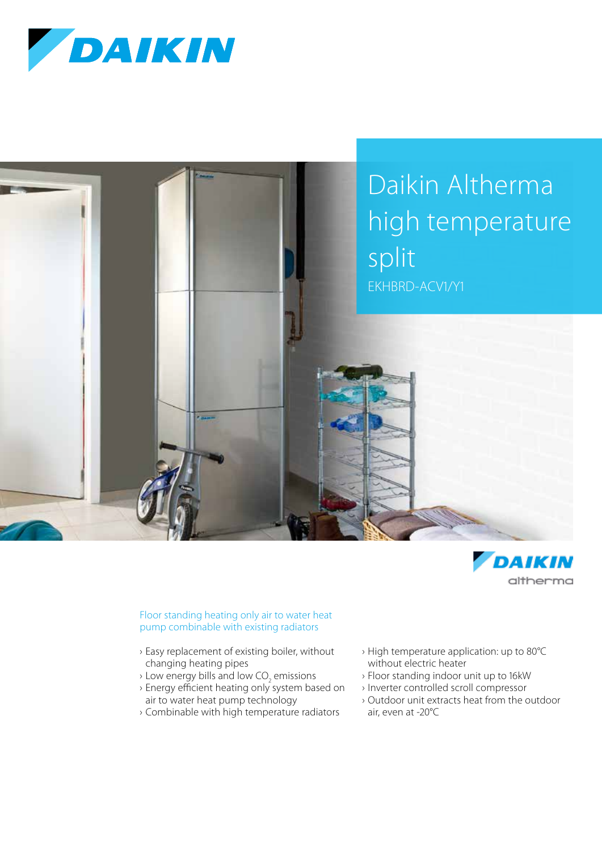





## Floor standing heating only air to water heat pump combinable with existing radiators

- › Easy replacement of existing boiler, without changing heating pipes
- $\rightarrow$  Low energy bills and low CO<sub>2</sub> emissions
- › Energy efficient heating only system based on air to water heat pump technology
- › Combinable with high temperature radiators
- › High temperature application: up to 80°C without electric heater
- › Floor standing indoor unit up to 16kW
- › Inverter controlled scroll compressor
- › Outdoor unit extracts heat from the outdoor air, even at -20°C